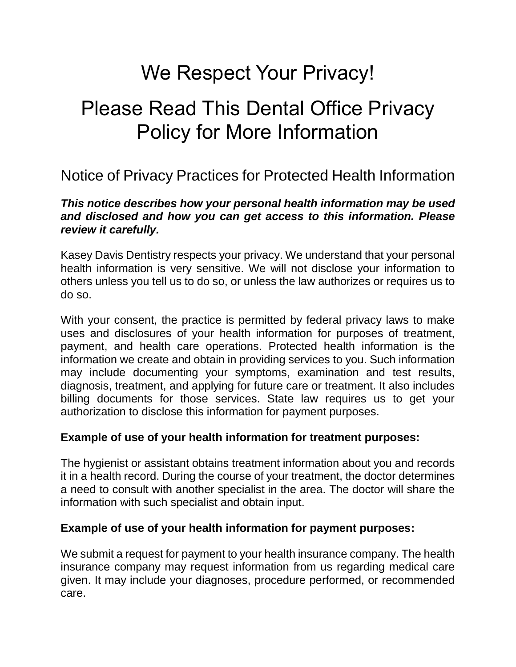# We Respect Your Privacy!

# Please Read This Dental Office Privacy Policy for More Information

## Notice of Privacy Practices for Protected Health Information

#### *This notice describes how your personal health information may be used and disclosed and how you can get access to this information. Please review it carefully.*

Kasey Davis Dentistry respects your privacy. We understand that your personal health information is very sensitive. We will not disclose your information to others unless you tell us to do so, or unless the law authorizes or requires us to do so.

With your consent, the practice is permitted by federal privacy laws to make uses and disclosures of your health information for purposes of treatment, payment, and health care operations. Protected health information is the information we create and obtain in providing services to you. Such information may include documenting your symptoms, examination and test results, diagnosis, treatment, and applying for future care or treatment. It also includes billing documents for those services. State law requires us to get your authorization to disclose this information for payment purposes.

#### **Example of use of your health information for treatment purposes:**

The hygienist or assistant obtains treatment information about you and records it in a health record. During the course of your treatment, the doctor determines a need to consult with another specialist in the area. The doctor will share the information with such specialist and obtain input.

#### **Example of use of your health information for payment purposes:**

We submit a request for payment to your health insurance company. The health insurance company may request information from us regarding medical care given. It may include your diagnoses, procedure performed, or recommended care.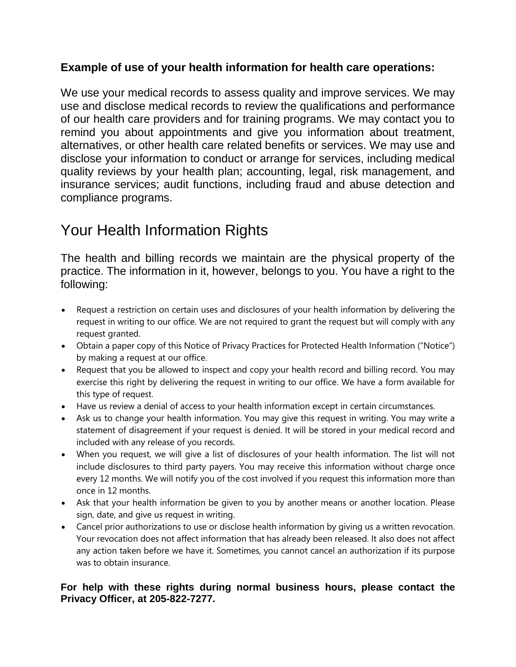#### **Example of use of your health information for health care operations:**

We use your medical records to assess quality and improve services. We may use and disclose medical records to review the qualifications and performance of our health care providers and for training programs. We may contact you to remind you about appointments and give you information about treatment, alternatives, or other health care related benefits or services. We may use and disclose your information to conduct or arrange for services, including medical quality reviews by your health plan; accounting, legal, risk management, and insurance services; audit functions, including fraud and abuse detection and compliance programs.

# Your Health Information Rights

The health and billing records we maintain are the physical property of the practice. The information in it, however, belongs to you. You have a right to the following:

- Request a restriction on certain uses and disclosures of your health information by delivering the request in writing to our office. We are not required to grant the request but will comply with any request granted.
- Obtain a paper copy of this Notice of Privacy Practices for Protected Health Information ("Notice") by making a request at our office.
- Request that you be allowed to inspect and copy your health record and billing record. You may exercise this right by delivering the request in writing to our office. We have a form available for this type of request.
- Have us review a denial of access to your health information except in certain circumstances.
- Ask us to change your health information. You may give this request in writing. You may write a statement of disagreement if your request is denied. It will be stored in your medical record and included with any release of you records.
- When you request, we will give a list of disclosures of your health information. The list will not include disclosures to third party payers. You may receive this information without charge once every 12 months. We will notify you of the cost involved if you request this information more than once in 12 months.
- Ask that your health information be given to you by another means or another location. Please sign, date, and give us request in writing.
- Cancel prior authorizations to use or disclose health information by giving us a written revocation. Your revocation does not affect information that has already been released. It also does not affect any action taken before we have it. Sometimes, you cannot cancel an authorization if its purpose was to obtain insurance.

#### **For help with these rights during normal business hours, please contact the Privacy Officer, at 205-822-7277.**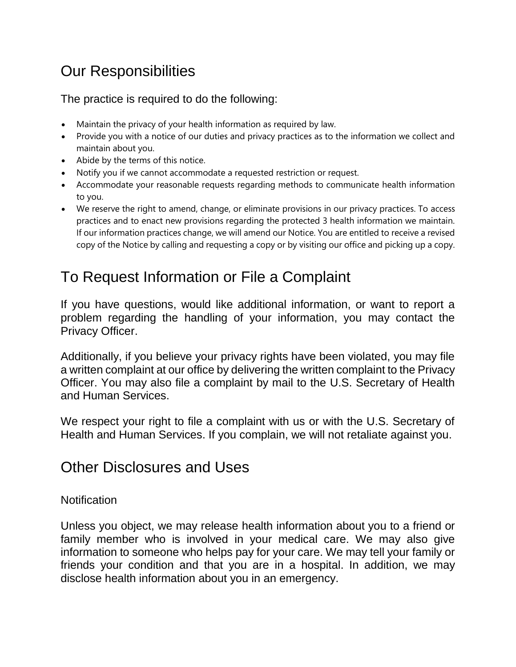# Our Responsibilities

The practice is required to do the following:

- Maintain the privacy of your health information as required by law.
- Provide you with a notice of our duties and privacy practices as to the information we collect and maintain about you.
- Abide by the terms of this notice.
- Notify you if we cannot accommodate a requested restriction or request.
- Accommodate your reasonable requests regarding methods to communicate health information to you.
- We reserve the right to amend, change, or eliminate provisions in our privacy practices. To access practices and to enact new provisions regarding the protected 3 health information we maintain. If our information practices change, we will amend our Notice. You are entitled to receive a revised copy of the Notice by calling and requesting a copy or by visiting our office and picking up a copy.

# To Request Information or File a Complaint

If you have questions, would like additional information, or want to report a problem regarding the handling of your information, you may contact the Privacy Officer.

Additionally, if you believe your privacy rights have been violated, you may file a written complaint at our office by delivering the written complaint to the Privacy Officer. You may also file a complaint by mail to the U.S. Secretary of Health and Human Services.

We respect your right to file a complaint with us or with the U.S. Secretary of Health and Human Services. If you complain, we will not retaliate against you.

### Other Disclosures and Uses

#### **Notification**

Unless you object, we may release health information about you to a friend or family member who is involved in your medical care. We may also give information to someone who helps pay for your care. We may tell your family or friends your condition and that you are in a hospital. In addition, we may disclose health information about you in an emergency.